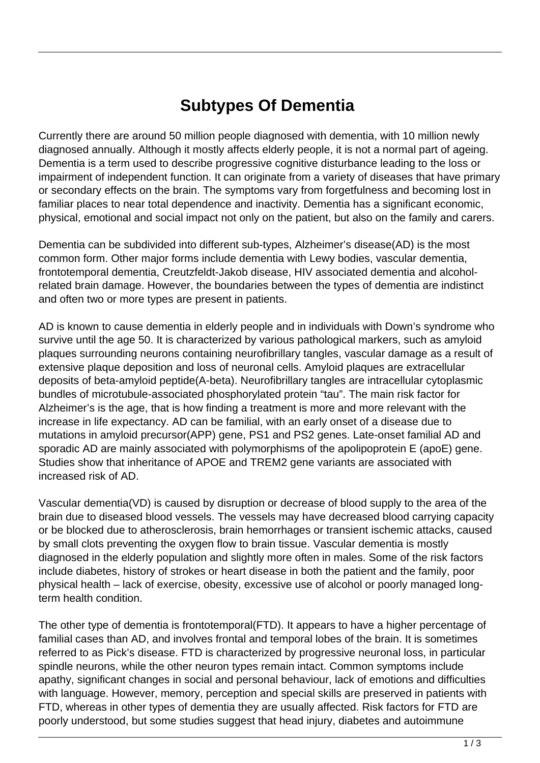## **Subtypes Of Dementia**

Currently there are around 50 million people diagnosed with dementia, with 10 million newly diagnosed annually. Although it mostly affects elderly people, it is not a normal part of ageing. Dementia is a term used to describe progressive cognitive disturbance leading to the loss or impairment of independent function. It can originate from a variety of diseases that have primary or secondary effects on the brain. The symptoms vary from forgetfulness and becoming lost in familiar places to near total dependence and inactivity. Dementia has a significant economic, physical, emotional and social impact not only on the patient, but also on the family and carers.

Dementia can be subdivided into different sub-types, Alzheimer's disease(AD) is the most common form. Other major forms include dementia with Lewy bodies, vascular dementia, frontotemporal dementia, Creutzfeldt-Jakob disease, HIV associated dementia and alcoholrelated brain damage. However, the boundaries between the types of dementia are indistinct and often two or more types are present in patients.

AD is known to cause dementia in elderly people and in individuals with Down's syndrome who survive until the age 50. It is characterized by various pathological markers, such as amyloid plaques surrounding neurons containing neurofibrillary tangles, vascular damage as a result of extensive plaque deposition and loss of neuronal cells. Amyloid plaques are extracellular deposits of beta-amyloid peptide(A-beta). Neurofibrillary tangles are intracellular cytoplasmic bundles of microtubule-associated phosphorylated protein "tau". The main risk factor for Alzheimer's is the age, that is how finding a treatment is more and more relevant with the increase in life expectancy. AD can be familial, with an early onset of a disease due to mutations in amyloid precursor(APP) gene, PS1 and PS2 genes. Late-onset familial AD and sporadic AD are mainly associated with polymorphisms of the apolipoprotein E (apoE) gene. Studies show that inheritance of APOE and TREM2 gene variants are associated with increased risk of AD.

Vascular dementia(VD) is caused by disruption or decrease of blood supply to the area of the brain due to diseased blood vessels. The vessels may have decreased blood carrying capacity or be blocked due to atherosclerosis, brain hemorrhages or transient ischemic attacks, caused by small clots preventing the oxygen flow to brain tissue. Vascular dementia is mostly diagnosed in the elderly population and slightly more often in males. Some of the risk factors include diabetes, history of strokes or heart disease in both the patient and the family, poor physical health – lack of exercise, obesity, excessive use of alcohol or poorly managed longterm health condition.

The other type of dementia is frontotemporal(FTD). It appears to have a higher percentage of familial cases than AD, and involves frontal and temporal lobes of the brain. It is sometimes referred to as Pick's disease. FTD is characterized by progressive neuronal loss, in particular spindle neurons, while the other neuron types remain intact. Common symptoms include apathy, significant changes in social and personal behaviour, lack of emotions and difficulties with language. However, memory, perception and special skills are preserved in patients with FTD, whereas in other types of dementia they are usually affected. Risk factors for FTD are poorly understood, but some studies suggest that head injury, diabetes and autoimmune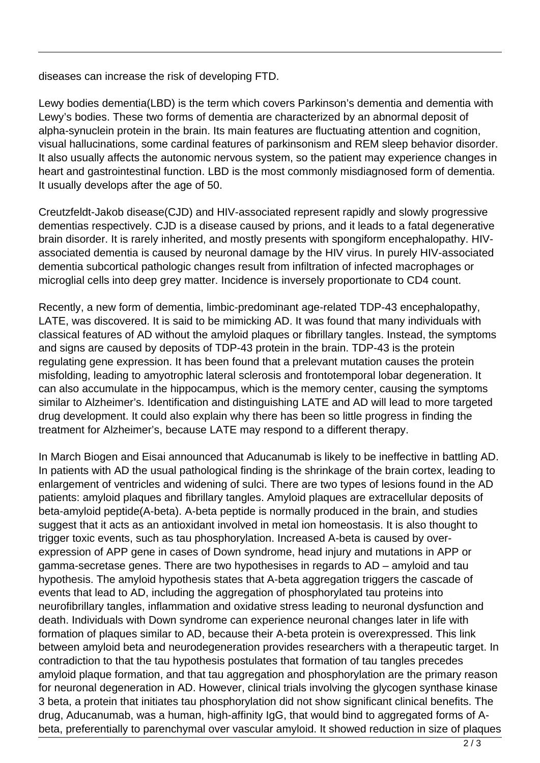diseases can increase the risk of developing FTD.

Lewy bodies dementia(LBD) is the term which covers Parkinson's dementia and dementia with Lewy's bodies. These two forms of dementia are characterized by an abnormal deposit of alpha-synuclein protein in the brain. Its main features are fluctuating attention and cognition, visual hallucinations, some cardinal features of parkinsonism and REM sleep behavior disorder. It also usually affects the autonomic nervous system, so the patient may experience changes in heart and gastrointestinal function. LBD is the most commonly misdiagnosed form of dementia. It usually develops after the age of 50.

Creutzfeldt-Jakob disease(CJD) and HIV-associated represent rapidly and slowly progressive dementias respectively. CJD is a disease caused by prions, and it leads to a fatal degenerative brain disorder. It is rarely inherited, and mostly presents with spongiform encephalopathy. HIVassociated dementia is caused by neuronal damage by the HIV virus. In purely HIV-associated dementia subcortical pathologic changes result from infiltration of infected macrophages or microglial cells into deep grey matter. Incidence is inversely proportionate to CD4 count.

Recently, a new form of dementia, limbic-predominant age-related TDP-43 encephalopathy, LATE, was discovered. It is said to be mimicking AD. It was found that many individuals with classical features of AD without the amyloid plaques or fibrillary tangles. Instead, the symptoms and signs are caused by deposits of TDP-43 protein in the brain. TDP-43 is the protein regulating gene expression. It has been found that a prelevant mutation causes the protein misfolding, leading to amyotrophic lateral sclerosis and frontotemporal lobar degeneration. It can also accumulate in the hippocampus, which is the memory center, causing the symptoms similar to Alzheimer's. Identification and distinguishing LATE and AD will lead to more targeted drug development. It could also explain why there has been so little progress in finding the treatment for Alzheimer's, because LATE may respond to a different therapy.

In March Biogen and Eisai announced that Aducanumab is likely to be ineffective in battling AD. In patients with AD the usual pathological finding is the shrinkage of the brain cortex, leading to enlargement of ventricles and widening of sulci. There are two types of lesions found in the AD patients: amyloid plaques and fibrillary tangles. Amyloid plaques are extracellular deposits of beta-amyloid peptide(A-beta). A-beta peptide is normally produced in the brain, and studies suggest that it acts as an antioxidant involved in metal ion homeostasis. It is also thought to trigger toxic events, such as tau phosphorylation. Increased A-beta is caused by overexpression of APP gene in cases of Down syndrome, head injury and mutations in APP or gamma-secretase genes. There are two hypothesises in regards to AD – amyloid and tau hypothesis. The amyloid hypothesis states that A-beta aggregation triggers the cascade of events that lead to AD, including the aggregation of phosphorylated tau proteins into neurofibrillary tangles, inflammation and oxidative stress leading to neuronal dysfunction and death. Individuals with Down syndrome can experience neuronal changes later in life with formation of plaques similar to AD, because their A-beta protein is overexpressed. This link between amyloid beta and neurodegeneration provides researchers with a therapeutic target. In contradiction to that the tau hypothesis postulates that formation of tau tangles precedes amyloid plaque formation, and that tau aggregation and phosphorylation are the primary reason for neuronal degeneration in AD. However, clinical trials involving the glycogen synthase kinase 3 beta, a protein that initiates tau phosphorylation did not show significant clinical benefits. The drug, Aducanumab, was a human, high-affinity IgG, that would bind to aggregated forms of Abeta, preferentially to parenchymal over vascular amyloid. It showed reduction in size of plaques